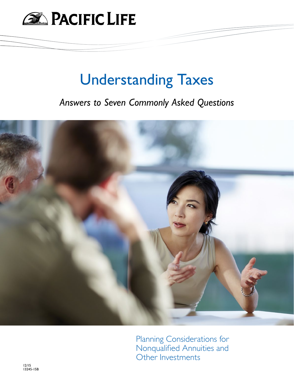

# Understanding Taxes

*Answers to Seven Commonly Asked Questions*



Planning Considerations for Nonqualified Annuities and Other Investments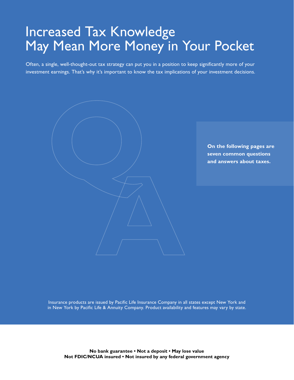# Increased Tax Knowledge May Mean More Money in Your Pocket

Often, a single, well-thought-out tax strategy can put you in a position to keep significantly more of your investment earnings. That's why it's important to know the tax implications of your investment decisions.

**On the following pages are seven common questions and answers about taxes.** 

Insurance products are issued by Pacific Life Insurance Company in all states except New York and in New York by Pacific Life & Annuity Company. Product availability and features may vary by state.

**No bank guarantee • Not a deposit • May lose value Not FDIC/NCUA insured • Not insured by any federal government agency**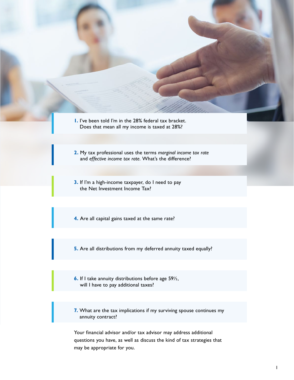- **1.** I've been told I'm in the 28% federal tax bracket. Does that mean all my income is taxed at 28%?
- **2.** My tax professional uses the terms *marginal income tax rate*  and *effective income tax rate*. What's the difference?
- **3.** If I'm a high-income taxpayer, do I need to pay the Net Investment Income Tax?
- **4.** Are all capital gains taxed at the same rate?
- **5.** Are all distributions from my deferred annuity taxed equally?
- **6.** If I take annuity distributions before age 59½, will I have to pay additional taxes?
- **7.** What are the tax implications if my surviving spouse continues my annuity contract?

Your financial advisor and/or tax advisor may address additional questions you have, as well as discuss the kind of tax strategies that may be appropriate for you.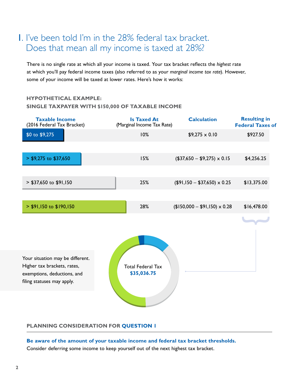# 1. I've been told I'm in the 28% federal tax bracket. Does that mean all my income is taxed at 28%?

There is no single rate at which all your income is taxed. Your tax bracket reflects the *highest* rate at which you'll pay federal income taxes (also referred to as your *marginal income tax rate*). However, some of your income will be taxed at lower rates. Here's how it works:

### **HYPOTHETICAL EXAMPLE:**

### **SINGLE TAXPAYER WITH \$150,000 OF TAXABLE INCOME**

| <b>Taxable Income</b><br>(2016 Federal Tax Bracket)        | <b>Is Taxed At</b><br>(Marginal Income Tax Rate) | <b>Calculation</b>                | <b>Resulting in</b><br><b>Federal Taxes of</b> |
|------------------------------------------------------------|--------------------------------------------------|-----------------------------------|------------------------------------------------|
| \$0 to \$9,275                                             | 10%                                              | $$9,275 \times 0.10$              | \$927.50                                       |
|                                                            |                                                  |                                   |                                                |
| $>$ \$9,275 to \$37,650                                    | 15%                                              | $($37,650 - $9,275) \times 0.15$  | \$4,256.25                                     |
|                                                            |                                                  |                                   |                                                |
| > \$37,650 to \$91,150                                     | 25%                                              | $($91,150 - $37,650) \times 0.25$ | \$13,375.00                                    |
|                                                            |                                                  |                                   |                                                |
| > \$91,150 to \$190,150                                    | 28%                                              | $$150,000 - $91,150 \times 0.28$  | \$16,478.00                                    |
|                                                            |                                                  |                                   |                                                |
|                                                            |                                                  |                                   |                                                |
| Your situation may be different.                           |                                                  |                                   |                                                |
| Higher tax brackets, rates,<br>exemptions, deductions, and | <b>Total Federal Tax</b><br>\$35,036.75          |                                   |                                                |
| filing statuses may apply.                                 |                                                  |                                   |                                                |
|                                                            |                                                  |                                   |                                                |

### **PLANNING CONSIDERATION FOR QUESTION 1**

**Be aware of the amount of your taxable income and federal tax bracket thresholds.**  Consider deferring some income to keep yourself out of the next highest tax bracket.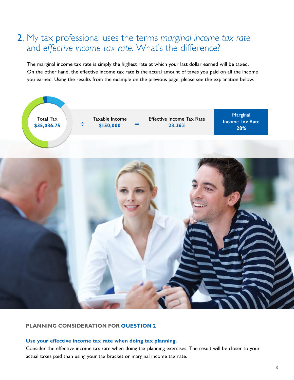# 2. My tax professional uses the terms *marginal income tax rate* and *effective income tax rate*. What's the difference?

The marginal income tax rate is simply the highest rate at which your last dollar earned will be taxed. On the other hand, the effective income tax rate is the actual amount of taxes you paid on all the income you earned. Using the results from the example on the previous page, please see the explanation below.



### **PLANNING CONSIDERATION FOR QUESTION 2**

#### **Use your effective income tax rate when doing tax planning.**

Consider the effective income tax rate when doing tax planning exercises. The result will be closer to your actual taxes paid than using your tax bracket or marginal income tax rate.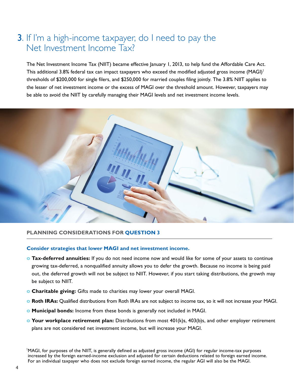# **3.** If I'm a high-income taxpayer, do I need to pay the Net Investment Income Tax?

The Net Investment Income Tax (NIIT) became effective January 1, 2013, to help fund the Affordable Care Act. This additional 3.8% federal tax can impact taxpayers who exceed the modified adjusted gross income (MAGI)<sup>1</sup> thresholds of \$200,000 for single filers, and \$250,000 for married couples filing jointly. The 3.8% NIIT applies to the lesser of net investment income or the excess of MAGI over the threshold amount. However, taxpayers may be able to avoid the NIIT by carefully managing their MAGI levels and net investment income levels.



### **PLANNING CONSIDERATIONS FOR QUESTION 3**

#### **Consider strategies that lower MAGI and net investment income.**

- **o Tax-deferred annuities:** If you do not need income now and would like for some of your assets to continue growing tax-deferred, a nonqualified annuity allows you to defer the growth. Because no income is being paid out, the deferred growth will not be subject to NIIT. However, if you start taking distributions, the growth may be subject to NIIT.
- **o Charitable giving:** Gifts made to charities may lower your overall MAGI.
- **o Roth IRAs:** Qualified distributions from Roth IRAs are not subject to income tax, so it will not increase your MAGI.
- **o Municipal bonds:** Income from these bonds is generally not included in MAGI.
- **o Your workplace retirement plan:** Distributions from most 401(k)s, 403(b)s, and other employer retirement plans are not considered net investment income, but will increase your MAGI.

1 MAGI, for purposes of the NIIT, is generally defined as adjusted gross income (AGI) for regular income-tax purposes increased by the foreign earned-income exclusion and adjusted for certain deductions related to foreign earned income. For an individual taxpayer who does not exclude foreign earned income, the regular AGI will also be the MAGI.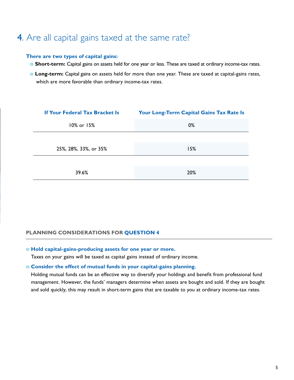# 4. Are all capital gains taxed at the same rate?

### **There are two types of capital gains:**

- **o Short-term:** Capital gains on assets held for one year or less. These are taxed at ordinary income-tax rates.
- **o Long-term:** Capital gains on assets held for more than one year. These are taxed at capital-gains rates, which are more favorable than ordinary income-tax rates.

| <b>If Your Federal Tax Bracket Is</b> | Your Long-Term Capital Gains Tax Rate Is |  |  |
|---------------------------------------|------------------------------------------|--|--|
| 10% or 15%                            | 0%                                       |  |  |
|                                       |                                          |  |  |
| 25%, 28%, 33%, or 35%                 | 15%                                      |  |  |
|                                       |                                          |  |  |
| 39.6%                                 | 20%                                      |  |  |

### **PLANNING CONSIDERATIONS FOR QUESTION 4**

### **o Hold capital-gains-producing assets for one year or more.**

Taxes on your gains will be taxed as capital gains instead of ordinary income.

#### **o Consider the effect of mutual funds in your capital-gains planning.**

Holding mutual funds can be an effective way to diversify your holdings and benefit from professional fund management. However, the funds' managers determine when assets are bought and sold. If they are bought and sold quickly, this may result in short-term gains that are taxable to you at ordinary income-tax rates.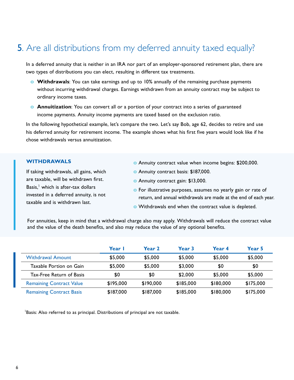# **5.** Are all distributions from my deferred annuity taxed equally?

In a deferred annuity that is neither in an IRA nor part of an employer-sponsored retirement plan, there are two types of distributions you can elect, resulting in different tax treatments.

- **o Withdrawals**: You can take earnings and up to 10% annually of the remaining purchase payments without incurring withdrawal charges. Earnings withdrawn from an annuity contract may be subject to ordinary income taxes.
- **o Annuitization**: You can convert all or a portion of your contract into a series of guaranteed income payments. Annuity income payments are taxed based on the exclusion ratio.

In the following hypothetical example, let's compare the two. Let's say Bob, age 62, decides to retire and use his deferred annuity for retirement income. The example shows what his first five years would look like if he chose withdrawals versus annuitization.

### **WITHDRAWALS**

If taking withdrawals, all gains, which are taxable, will be withdrawn first. Basis, $<sup>1</sup>$  which is after-tax dollars</sup> invested in a deferred annuity, is not taxable and is withdrawn last.

- **o** Annuity contract value when income begins: \$200,000.
- **o** Annuity contract basis: \$187,000.
- **o** Annuity contract gain: \$13,000.
- **o** For illustrative purposes, assumes no yearly gain or rate of return, and annual withdrawals are made at the end of each year.
- **o** Withdrawals end when the contract value is depleted.

For annuities, keep in mind that a withdrawal charge also may apply. Withdrawals will reduce the contract value and the value of the death benefits, and also may reduce the value of any optional benefits.

|                                 | Year I    | Year <sub>2</sub> | Year <sub>3</sub> | Year 4    | Year 5    |
|---------------------------------|-----------|-------------------|-------------------|-----------|-----------|
| <b>Withdrawal Amount</b>        | \$5,000   | \$5,000           | \$5,000           | \$5,000   | \$5,000   |
| Taxable Portion on Gain         | \$5,000   | \$5,000           | \$3,000           | \$0       | \$0       |
| Tax-Free Return of Basis        | \$0       | \$0               | \$2,000           | \$5,000   | \$5,000   |
| <b>Remaining Contract Value</b> | \$195,000 | \$190,000         | \$185,000         | \$180,000 | \$175,000 |
| <b>Remaining Contract Basis</b> | \$187,000 | \$187,000         | \$185,000         | \$180,000 | \$175,000 |

<sup>1</sup>Basis: Also referred to as principal. Distributions of principal are not taxable.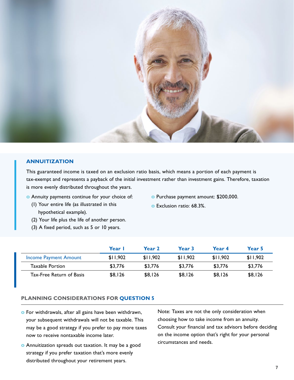

#### **ANNUITIZATION**

This guaranteed income is taxed on an exclusion ratio basis, which means a portion of each payment is tax-exempt and represents a payback of the initial investment rather than investment gains. Therefore, taxation is more evenly distributed throughout the years.

- **o** Annuity payments continue for your choice of:
	- (1) Your entire life (as illustrated in this hypothetical example).
	- (2) Your life plus the life of another person.
	- (3) A fixed period, such as 5 or 10 years.
- **o** Purchase payment amount: \$200,000.
- **o** Exclusion ratio: 68.3%.

|                          | Year I   | Year <sub>2</sub> | Year <sub>3</sub> | Year 4   | Year 5   |
|--------------------------|----------|-------------------|-------------------|----------|----------|
| Income Payment Amount    | \$11.902 | \$11.902          | \$11.902          | \$11.902 | \$11.902 |
| Taxable Portion          | \$3.776  | \$3.776           | \$3.776           | \$3,776  | \$3,776  |
| Tax-Free Return of Basis | \$8,126  | \$8,126           | \$8,126           | \$8,126  | \$8,126  |

### **PLANNING CONSIDERATIONS FOR QUESTION 5**

- **o** For withdrawals, after all gains have been withdrawn, your subsequent withdrawals will not be taxable. This may be a good strategy if you prefer to pay more taxes now to receive nontaxable income later.
- **o** Annuitization spreads out taxation. It may be a good strategy if you prefer taxation that's more evenly distributed throughout your retirement years.

Note: Taxes are not the only consideration when choosing how to take income from an annuity. Consult your financial and tax advisors before deciding on the income option that's right for your personal circumstances and needs.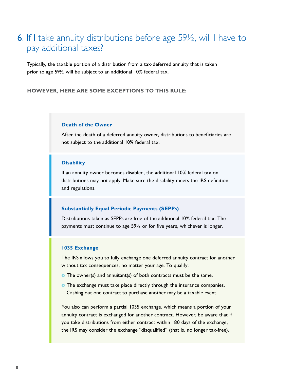### 6. If I take annuity distributions before age 59½, will I have to pay additional taxes?

Typically, the taxable portion of a distribution from a tax-deferred annuity that is taken prior to age 59½ will be subject to an additional 10% federal tax.

**HOWEVER, HERE ARE SOME EXCEPTIONS TO THIS RULE:**

### **Death of the Owner**

After the death of a deferred annuity owner, distributions to beneficiaries are not subject to the additional 10% federal tax.

#### **Disability**

If an annuity owner becomes disabled, the additional 10% federal tax on distributions may not apply. Make sure the disability meets the IRS definition and regulations.

#### **Substantially Equal Periodic Payments (SEPPs)**

Distributions taken as SEPPs are free of the additional 10% federal tax. The payments must continue to age 59½ or for five years, whichever is longer.

#### **1035 Exchange**

The IRS allows you to fully exchange one deferred annuity contract for another without tax consequences, no matter your age. To qualify:

- **o** The owner(s) and annuitant(s) of both contracts must be the same.
- **o** The exchange must take place directly through the insurance companies. Cashing out one contract to purchase another may be a taxable event.

You also can perform a partial 1035 exchange, which means a portion of your annuity contract is exchanged for another contract. However, be aware that if you take distributions from either contract within 180 days of the exchange, the IRS may consider the exchange "disqualified" (that is, no longer tax-free).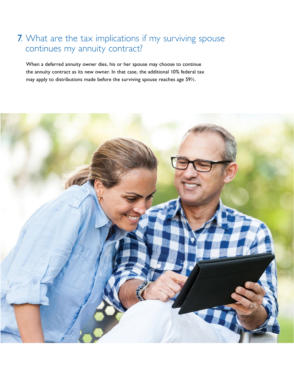# 7. What are the tax implications if my surviving spouse continues my annuity contract?

When a deferred annuity owner dies, his or her spouse may choose to continue the annuity contract as its new owner. In that case, the additional 10% federal tax may apply to distributions made before the surviving spouse reaches age 59½.